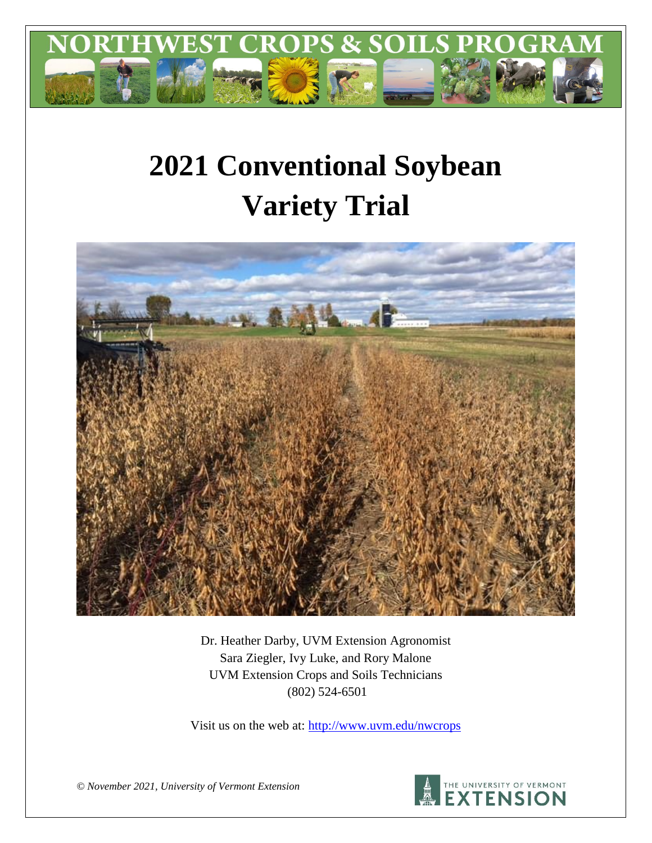

# **2021 Conventional Soybean Variety Trial**



Dr. Heather Darby, UVM Extension Agronomist Sara Ziegler, Ivy Luke, and Rory Malone UVM Extension Crops and Soils Technicians (802) 524-6501

Visit us on the web at: <http://www.uvm.edu/nwcrops>



*© November 2021, University of Vermont Extension*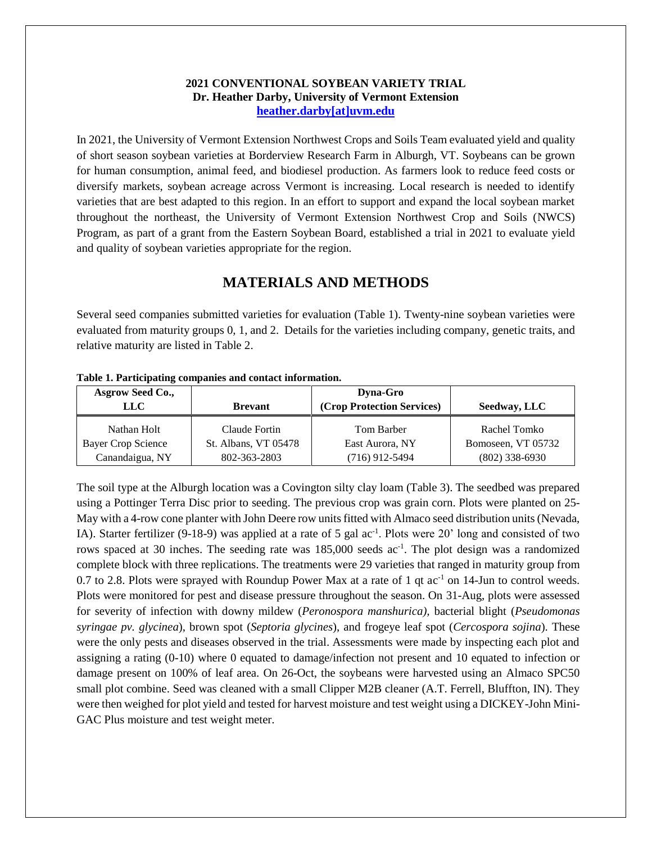## **2021 CONVENTIONAL SOYBEAN VARIETY TRIAL Dr. Heather Darby, University of Vermont Extension [heather.darby\[at\]uvm.edu](mailto:heather.darby@uvm.edu?subject=2012%20Short%20Season%20Corn%20Report)**

In 2021, the University of Vermont Extension Northwest Crops and Soils Team evaluated yield and quality of short season soybean varieties at Borderview Research Farm in Alburgh, VT. Soybeans can be grown for human consumption, animal feed, and biodiesel production. As farmers look to reduce feed costs or diversify markets, soybean acreage across Vermont is increasing. Local research is needed to identify varieties that are best adapted to this region. In an effort to support and expand the local soybean market throughout the northeast, the University of Vermont Extension Northwest Crop and Soils (NWCS) Program, as part of a grant from the Eastern Soybean Board, established a trial in 2021 to evaluate yield and quality of soybean varieties appropriate for the region.

# **MATERIALS AND METHODS**

Several seed companies submitted varieties for evaluation (Table 1). Twenty-nine soybean varieties were evaluated from maturity groups 0, 1, and 2. Details for the varieties including company, genetic traits, and relative maturity are listed in Table 2.

| <b>Asgrow Seed Co.,</b><br>LLC-   | <b>Brevant</b>                        | Dyna-Gro<br>(Crop Protection Services) | Seedway, LLC                       |
|-----------------------------------|---------------------------------------|----------------------------------------|------------------------------------|
| Nathan Holt<br>Bayer Crop Science | Claude Fortin<br>St. Albans, VT 05478 | Tom Barber<br>East Aurora, NY          | Rachel Tomko<br>Bomoseen, VT 05732 |
| Canandaigua, NY                   | 802-363-2803                          | $(716)$ 912-5494                       | $(802)$ 338-6930                   |

**Table 1. Participating companies and contact information.**

The soil type at the Alburgh location was a Covington silty clay loam (Table 3). The seedbed was prepared using a Pottinger Terra Disc prior to seeding. The previous crop was grain corn. Plots were planted on 25- May with a 4-row cone planter with John Deere row units fitted with Almaco seed distribution units (Nevada, IA). Starter fertilizer (9-18-9) was applied at a rate of 5 gal ac<sup>-1</sup>. Plots were 20' long and consisted of two rows spaced at 30 inches. The seeding rate was 185,000 seeds ac<sup>-1</sup>. The plot design was a randomized complete block with three replications. The treatments were 29 varieties that ranged in maturity group from 0.7 to 2.8. Plots were sprayed with Roundup Power Max at a rate of 1 qt  $ac^{-1}$  on 14-Jun to control weeds. Plots were monitored for pest and disease pressure throughout the season. On 31-Aug, plots were assessed for severity of infection with downy mildew (*Peronospora manshurica),* bacterial blight (*Pseudomonas syringae pv. glycinea*), brown spot (*Septoria glycines*), and frogeye leaf spot (*Cercospora sojina*). These were the only pests and diseases observed in the trial. Assessments were made by inspecting each plot and assigning a rating (0-10) where 0 equated to damage/infection not present and 10 equated to infection or damage present on 100% of leaf area. On 26-Oct, the soybeans were harvested using an Almaco SPC50 small plot combine. Seed was cleaned with a small Clipper M2B cleaner (A.T. Ferrell, Bluffton, IN). They were then weighed for plot yield and tested for harvest moisture and test weight using a DICKEY-John Mini-GAC Plus moisture and test weight meter.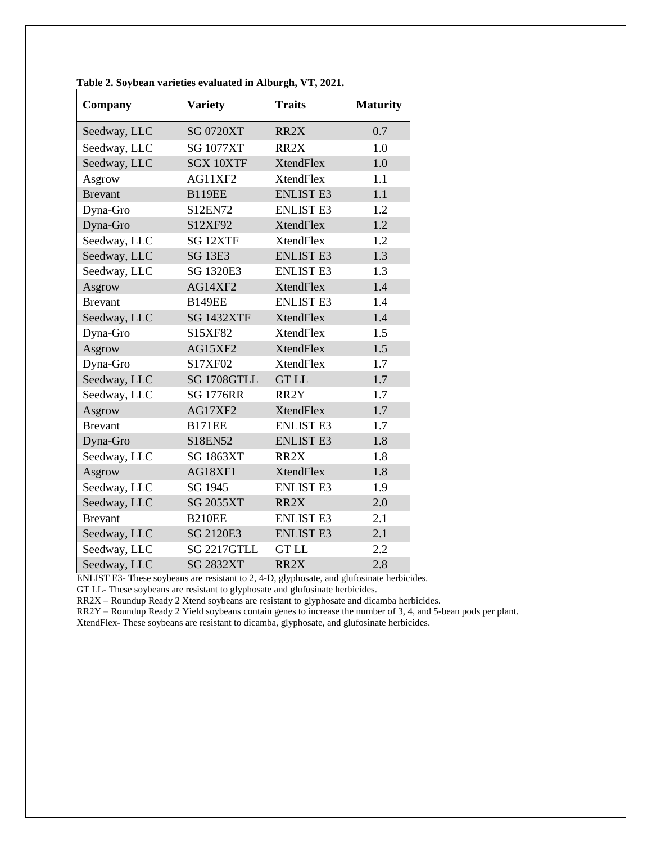| Company        | <b>Variety</b>      | <b>Traits</b>     | <b>Maturity</b> |
|----------------|---------------------|-------------------|-----------------|
| Seedway, LLC   | <b>SG 0720XT</b>    | RR <sub>2</sub> X | 0.7             |
| Seedway, LLC   | <b>SG 1077XT</b>    | RR2X              | 1.0             |
| Seedway, LLC   | <b>SGX 10XTF</b>    | <b>XtendFlex</b>  | 1.0             |
| Asgrow         | AG11XF2             | <b>XtendFlex</b>  | 1.1             |
| <b>Brevant</b> | <b>B119EE</b>       | <b>ENLIST E3</b>  | 1.1             |
| Dyna-Gro       | S12EN72             | <b>ENLIST E3</b>  | 1.2             |
| Dyna-Gro       | S12XF92             | <b>XtendFlex</b>  | 1.2             |
| Seedway, LLC   | SG <sub>12XTF</sub> | <b>XtendFlex</b>  | 1.2             |
| Seedway, LLC   | <b>SG 13E3</b>      | <b>ENLIST E3</b>  | 1.3             |
| Seedway, LLC   | <b>SG 1320E3</b>    | <b>ENLIST E3</b>  | 1.3             |
| Asgrow         | AG14XF2             | <b>XtendFlex</b>  | 1.4             |
| <b>Brevant</b> | <b>B149EE</b>       | <b>ENLIST E3</b>  | 1.4             |
| Seedway, LLC   | <b>SG 1432XTF</b>   | <b>XtendFlex</b>  | 1.4             |
| Dyna-Gro       | S15XF82             | <b>XtendFlex</b>  | 1.5             |
| Asgrow         | AG15XF2             | <b>XtendFlex</b>  | 1.5             |
| Dyna-Gro       | S17XF02             | <b>XtendFlex</b>  | 1.7             |
| Seedway, LLC   | SG 1708GTLL         | <b>GTLL</b>       | 1.7             |
| Seedway, LLC   | <b>SG 1776RR</b>    | RR <sub>2</sub> Y | 1.7             |
| Asgrow         | AG17XF2             | <b>XtendFlex</b>  | 1.7             |
| <b>Brevant</b> | <b>B171EE</b>       | <b>ENLIST E3</b>  | 1.7             |
| Dyna-Gro       | S18EN52             | <b>ENLIST E3</b>  | 1.8             |
| Seedway, LLC   | <b>SG 1863XT</b>    | RR <sub>2</sub> X | 1.8             |
| Asgrow         | AG18XF1             | <b>XtendFlex</b>  | 1.8             |
| Seedway, LLC   | SG 1945             | <b>ENLIST E3</b>  | 1.9             |
| Seedway, LLC   | <b>SG 2055XT</b>    | RR2X              | 2.0             |
| <b>Brevant</b> | <b>B210EE</b>       | <b>ENLIST E3</b>  | 2.1             |
| Seedway, LLC   | SG 2120E3           | <b>ENLIST E3</b>  | 2.1             |
| Seedway, LLC   | SG 2217GTLL         | <b>GTLL</b>       | 2.2             |
| Seedway, LLC   | <b>SG 2832XT</b>    | RR2X              | 2.8             |

**Table 2. Soybean varieties evaluated in Alburgh, VT, 2021.**

ENLIST E3- These soybeans are resistant to 2, 4-D, glyphosate, and glufosinate herbicides.

GT LL- These soybeans are resistant to glyphosate and glufosinate herbicides.

RR2X – Roundup Ready 2 Xtend soybeans are resistant to glyphosate and dicamba herbicides.

RR2Y – Roundup Ready 2 Yield soybeans contain genes to increase the number of 3, 4, and 5-bean pods per plant.

XtendFlex- These soybeans are resistant to dicamba, glyphosate, and glufosinate herbicides.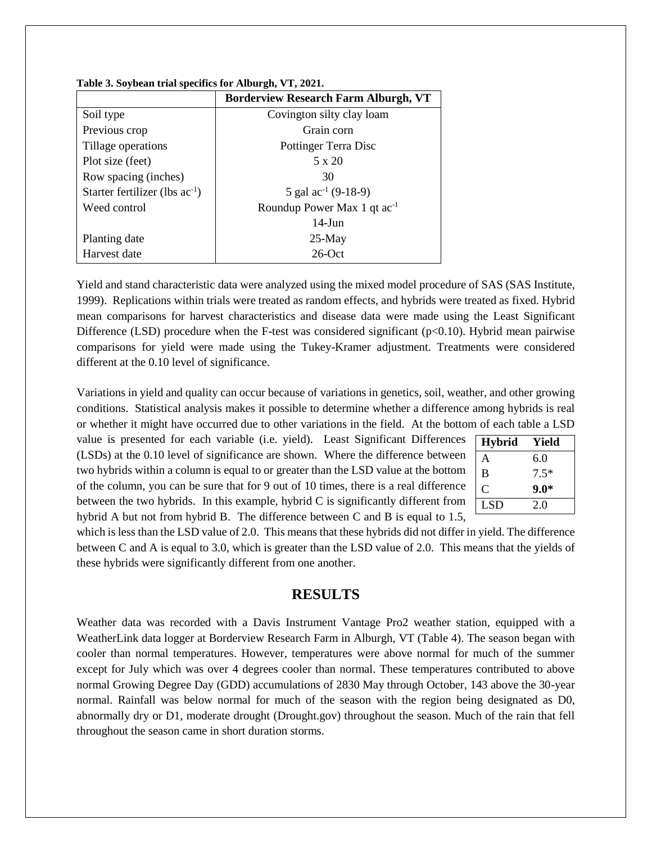|                                     | <b>Borderview Research Farm Alburgh, VT</b> |  |  |  |
|-------------------------------------|---------------------------------------------|--|--|--|
| Soil type                           | Covington silty clay loam                   |  |  |  |
| Previous crop                       | Grain corn                                  |  |  |  |
| Tillage operations                  | Pottinger Terra Disc                        |  |  |  |
| Plot size (feet)                    | 5 x 20                                      |  |  |  |
| Row spacing (inches)                | 30                                          |  |  |  |
| Starter fertilizer (lbs $ac^{-1}$ ) | 5 gal $\text{ac}^{-1}$ (9-18-9)             |  |  |  |
| Weed control                        | Roundup Power Max 1 qt ac <sup>-1</sup>     |  |  |  |
|                                     | $14$ -Jun                                   |  |  |  |
| Planting date                       | $25-May$                                    |  |  |  |
| Harvest date                        | $26$ -Oct                                   |  |  |  |

| Table 3. Soybean trial specifics for Alburgh, VT, 2021. |  |  |
|---------------------------------------------------------|--|--|
|                                                         |  |  |

Yield and stand characteristic data were analyzed using the mixed model procedure of SAS (SAS Institute, 1999). Replications within trials were treated as random effects, and hybrids were treated as fixed. Hybrid mean comparisons for harvest characteristics and disease data were made using the Least Significant Difference (LSD) procedure when the F-test was considered significant ( $p<0.10$ ). Hybrid mean pairwise comparisons for yield were made using the Tukey-Kramer adjustment. Treatments were considered different at the 0.10 level of significance.

Variations in yield and quality can occur because of variations in genetics, soil, weather, and other growing conditions. Statistical analysis makes it possible to determine whether a difference among hybrids is real or whether it might have occurred due to other variations in the field. At the bottom of each table a LSD

value is presented for each variable (i.e. yield). Least Significant Differences (LSDs) at the 0.10 level of significance are shown. Where the difference between two hybrids within a column is equal to or greater than the LSD value at the bottom of the column, you can be sure that for 9 out of 10 times, there is a real difference between the two hybrids. In this example, hybrid C is significantly different from hybrid A but not from hybrid B. The difference between C and B is equal to 1.5,

| <b>Hybrid</b> | Yield  |  |  |  |  |
|---------------|--------|--|--|--|--|
| A             | 6.0    |  |  |  |  |
| B             | $7.5*$ |  |  |  |  |
| C             | $9.0*$ |  |  |  |  |
| <b>LSD</b>    | 2.0    |  |  |  |  |

which is less than the LSD value of 2.0. This means that these hybrids did not differ in yield. The difference between C and A is equal to 3.0, which is greater than the LSD value of 2.0. This means that the yields of these hybrids were significantly different from one another.

## **RESULTS**

Weather data was recorded with a Davis Instrument Vantage Pro2 weather station, equipped with a WeatherLink data logger at Borderview Research Farm in Alburgh, VT (Table 4). The season began with cooler than normal temperatures. However, temperatures were above normal for much of the summer except for July which was over 4 degrees cooler than normal. These temperatures contributed to above normal Growing Degree Day (GDD) accumulations of 2830 May through October, 143 above the 30-year normal. Rainfall was below normal for much of the season with the region being designated as D0, abnormally dry or D1, moderate drought (Drought.gov) throughout the season. Much of the rain that fell throughout the season came in short duration storms.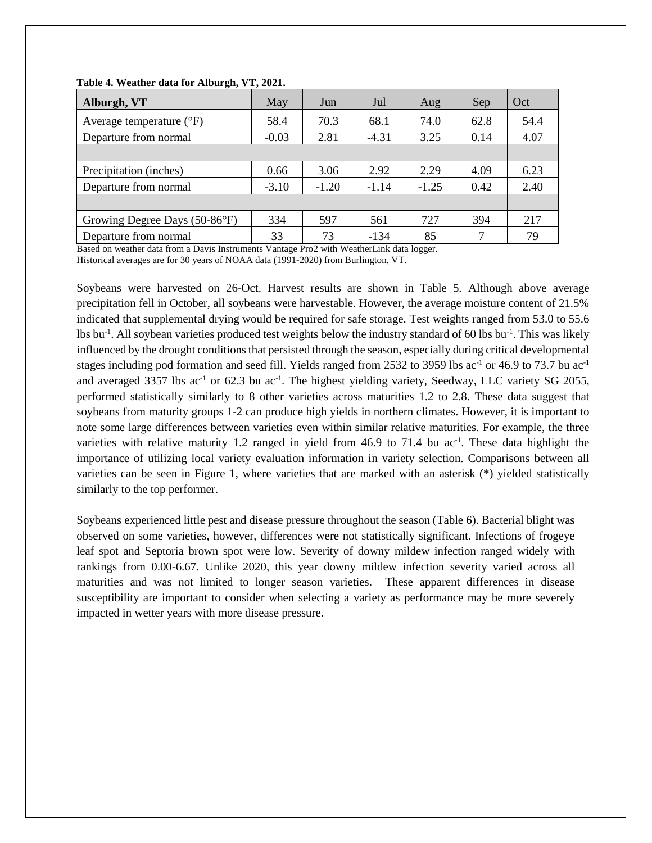| Alburgh, VT                         | May     | Jun     | Jul     | Aug     | Sep  | Oct  |
|-------------------------------------|---------|---------|---------|---------|------|------|
| Average temperature $({}^{\circ}F)$ | 58.4    | 70.3    | 68.1    | 74.0    | 62.8 | 54.4 |
| Departure from normal               | $-0.03$ | 2.81    | $-4.31$ | 3.25    | 0.14 | 4.07 |
|                                     |         |         |         |         |      |      |
| Precipitation (inches)              | 0.66    | 3.06    | 2.92    | 2.29    | 4.09 | 6.23 |
| Departure from normal               | $-3.10$ | $-1.20$ | $-1.14$ | $-1.25$ | 0.42 | 2.40 |
|                                     |         |         |         |         |      |      |
| Growing Degree Days (50-86°F)       | 334     | 597     | 561     | 727     | 394  | 217  |
| Departure from normal               | 33      | 73      | $-134$  | 85      | 7    | 79   |

#### **Table 4. Weather data for Alburgh, VT, 2021.**

Based on weather data from a Davis Instruments Vantage Pro2 with WeatherLink data logger.

Historical averages are for 30 years of NOAA data (1991-2020) from Burlington, VT.

Soybeans were harvested on 26-Oct. Harvest results are shown in Table 5. Although above average precipitation fell in October, all soybeans were harvestable. However, the average moisture content of 21.5% indicated that supplemental drying would be required for safe storage. Test weights ranged from 53.0 to 55.6 lbs bu<sup>-1</sup>. All soybean varieties produced test weights below the industry standard of 60 lbs bu<sup>-1</sup>. This was likely influenced by the drought conditions that persisted through the season, especially during critical developmental stages including pod formation and seed fill. Yields ranged from 2532 to 3959 lbs ac<sup>-1</sup> or 46.9 to 73.7 bu ac<sup>-1</sup> and averaged 3357 lbs  $ac^{-1}$  or 62.3 bu  $ac^{-1}$ . The highest yielding variety, Seedway, LLC variety SG 2055, performed statistically similarly to 8 other varieties across maturities 1.2 to 2.8. These data suggest that soybeans from maturity groups 1-2 can produce high yields in northern climates. However, it is important to note some large differences between varieties even within similar relative maturities. For example, the three varieties with relative maturity 1.2 ranged in yield from  $46.9$  to 71.4 bu ac<sup>-1</sup>. These data highlight the importance of utilizing local variety evaluation information in variety selection. Comparisons between all varieties can be seen in Figure 1, where varieties that are marked with an asterisk (\*) yielded statistically similarly to the top performer.

Soybeans experienced little pest and disease pressure throughout the season (Table 6). Bacterial blight was observed on some varieties, however, differences were not statistically significant. Infections of frogeye leaf spot and Septoria brown spot were low. Severity of downy mildew infection ranged widely with rankings from 0.00-6.67. Unlike 2020, this year downy mildew infection severity varied across all maturities and was not limited to longer season varieties. These apparent differences in disease susceptibility are important to consider when selecting a variety as performance may be more severely impacted in wetter years with more disease pressure.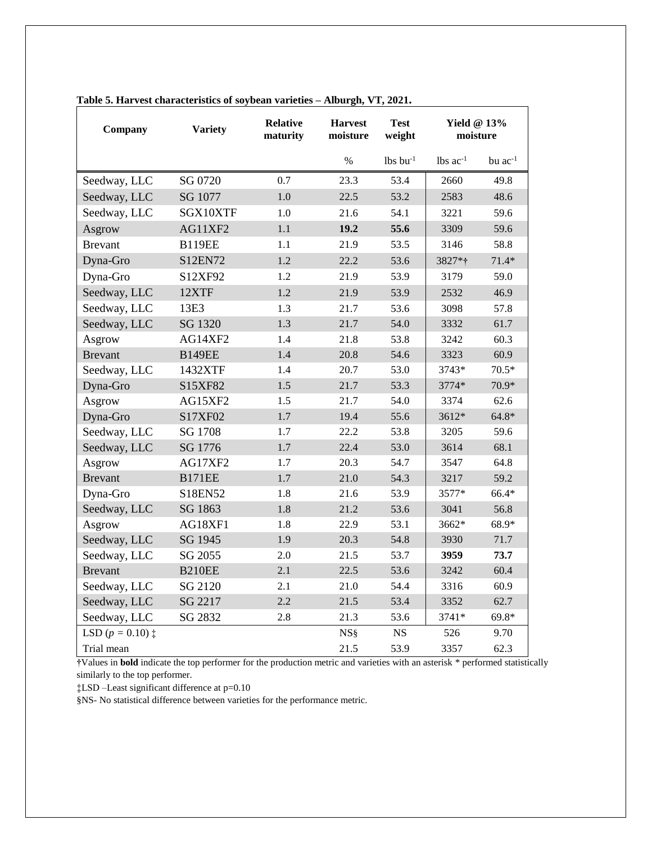| Company            | <b>Variety</b> | <b>Relative</b><br>maturity | <b>Harvest</b><br>moisture | <b>Test</b><br>weight  | Yield $@13\%$<br>moisture |              |  |
|--------------------|----------------|-----------------------------|----------------------------|------------------------|---------------------------|--------------|--|
|                    |                |                             | $\%$                       | $lbs$ bu <sup>-1</sup> | $lbs$ ac <sup>-1</sup>    | bu $ac^{-1}$ |  |
| Seedway, LLC       | SG 0720        | 0.7                         | 23.3                       | 53.4                   | 2660                      | 49.8         |  |
| Seedway, LLC       | SG 1077        | 1.0                         | 22.5                       | 53.2                   | 2583                      | 48.6         |  |
| Seedway, LLC       | SGX10XTF       | 1.0                         | 21.6                       | 54.1                   | 3221                      | 59.6         |  |
| Asgrow             | AG11XF2        | 1.1                         | 19.2                       | 55.6                   | 3309                      | 59.6         |  |
| <b>Brevant</b>     | <b>B119EE</b>  | 1.1                         | 21.9                       | 53.5                   | 3146                      | 58.8         |  |
| Dyna-Gro           | S12EN72        | 1.2                         | 22.2                       | 53.6                   | 3827*†                    | $71.4*$      |  |
| Dyna-Gro           | S12XF92        | 1.2                         | 21.9                       | 53.9                   | 3179                      | 59.0         |  |
| Seedway, LLC       | 12XTF          | 1.2                         | 21.9                       | 53.9                   | 2532                      | 46.9         |  |
| Seedway, LLC       | 13E3           | 1.3                         | 21.7                       | 53.6                   | 3098                      | 57.8         |  |
| Seedway, LLC       | SG 1320        | 1.3                         | 21.7                       | 54.0                   | 3332                      | 61.7         |  |
| Asgrow             | AG14XF2        | 1.4                         | 21.8                       | 53.8                   | 3242                      | 60.3         |  |
| <b>Brevant</b>     | <b>B149EE</b>  | 1.4                         | 20.8                       | 54.6                   | 3323                      | 60.9         |  |
| Seedway, LLC       | 1432XTF        | 1.4                         | 20.7                       | 53.0                   | 3743*                     | $70.5*$      |  |
| Dyna-Gro           | S15XF82        | 1.5                         | 21.7                       | 53.3                   | 3774*                     | 70.9*        |  |
| Asgrow             | AG15XF2        | 1.5                         | 21.7                       | 54.0                   | 3374                      | 62.6         |  |
| Dyna-Gro           | S17XF02        | 1.7                         | 19.4                       | 55.6                   | 3612*                     | $64.8*$      |  |
| Seedway, LLC       | SG 1708        | 1.7                         | 22.2                       | 53.8                   | 3205                      | 59.6         |  |
| Seedway, LLC       | SG 1776        | $1.7\,$                     | 22.4                       | 53.0                   | 3614                      | 68.1         |  |
| Asgrow             | AG17XF2        | 1.7                         | 20.3                       | 54.7                   | 3547                      | 64.8         |  |
| <b>Brevant</b>     | <b>B171EE</b>  | 1.7                         | 21.0                       | 54.3                   | 3217                      | 59.2         |  |
| Dyna-Gro           | S18EN52        | 1.8                         | 21.6                       | 53.9                   | 3577*                     | 66.4*        |  |
| Seedway, LLC       | SG 1863        | 1.8                         | 21.2                       | 53.6                   | 3041                      | 56.8         |  |
| Asgrow             | AG18XF1        | 1.8                         | 22.9                       | 53.1                   | 3662*                     | 68.9*        |  |
| Seedway, LLC       | SG 1945        | 1.9                         | 20.3                       | 54.8                   | 3930                      | 71.7         |  |
| Seedway, LLC       | SG 2055        | 2.0                         | 21.5                       | 53.7                   | 3959                      | 73.7         |  |
| <b>Brevant</b>     | <b>B210EE</b>  | 2.1                         | 22.5                       | 53.6                   | 3242                      | 60.4         |  |
| Seedway, LLC       | SG 2120        | 2.1                         | 21.0                       | 54.4                   | 3316                      | 60.9         |  |
| Seedway, LLC       | SG 2217        | 2.2                         | 21.5                       | 53.4                   | 3352                      | 62.7         |  |
| Seedway, LLC       | SG 2832        | 2.8                         | 21.3                       | 53.6                   | 3741*                     | $69.8*$      |  |
| LSD $(p = 0.10)$ : |                |                             | NS <sub>§</sub>            | <b>NS</b>              | 526                       | 9.70         |  |
| Trial mean         |                |                             | 21.5                       | 53.9                   | 3357                      | 62.3         |  |

### **Table 5. Harvest characteristics of soybean varieties – Alburgh, VT, 2021.**

**†**Values in **bold** indicate the top performer for the production metric and varieties with an asterisk \* performed statistically similarly to the top performer.

‡LSD –Least significant difference at p=0.10

§NS- No statistical difference between varieties for the performance metric.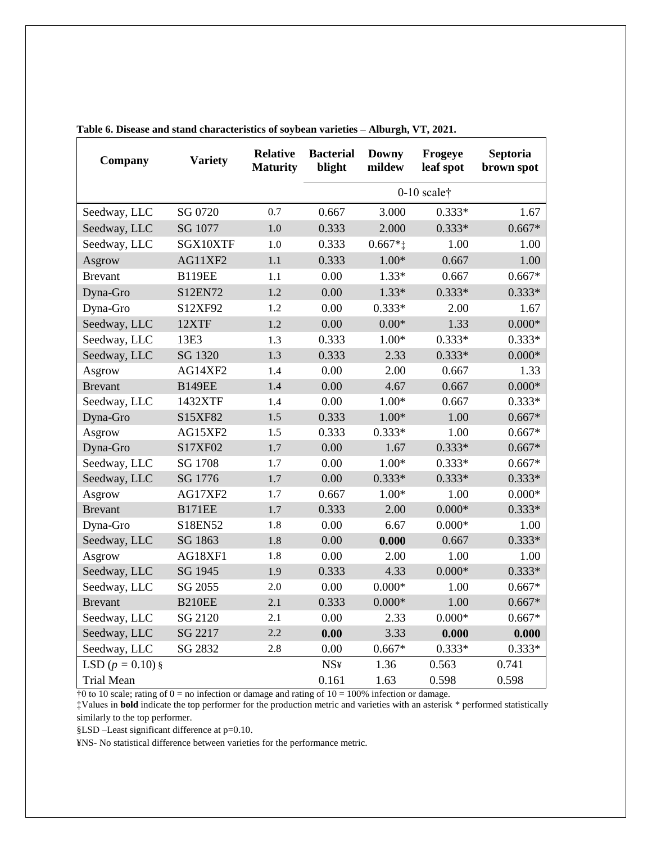| Company            | <b>Variety</b> | <b>Relative</b><br><b>Maturity</b> | <b>Bacterial</b><br><b>Downy</b><br>Frogeye<br>blight<br>mildew<br>leaf spot |          |          | Septoria<br>brown spot |
|--------------------|----------------|------------------------------------|------------------------------------------------------------------------------|----------|----------|------------------------|
|                    |                |                                    | $0-10$ scalet                                                                |          |          |                        |
| Seedway, LLC       | SG 0720        | 0.7                                | 0.667                                                                        | 3.000    | $0.333*$ | 1.67                   |
| Seedway, LLC       | SG 1077        | 1.0                                | 0.333                                                                        | 2.000    | $0.333*$ | $0.667*$               |
| Seedway, LLC       | SGX10XTF       | 1.0                                | 0.333                                                                        | $0.667*$ | 1.00     | 1.00                   |
| Asgrow             | AG11XF2        | 1.1                                | 0.333                                                                        | $1.00*$  | 0.667    | 1.00                   |
| <b>Brevant</b>     | <b>B119EE</b>  | 1.1                                | 0.00                                                                         | $1.33*$  | 0.667    | $0.667*$               |
| Dyna-Gro           | S12EN72        | 1.2                                | 0.00                                                                         | $1.33*$  | $0.333*$ | $0.333*$               |
| Dyna-Gro           | S12XF92        | 1.2                                | 0.00                                                                         | $0.333*$ | 2.00     | 1.67                   |
| Seedway, LLC       | 12XTF          | 1.2                                | 0.00                                                                         | $0.00*$  | 1.33     | $0.000*$               |
| Seedway, LLC       | 13E3           | 1.3                                | 0.333                                                                        | $1.00*$  | $0.333*$ | $0.333*$               |
| Seedway, LLC       | SG 1320        | 1.3                                | 0.333                                                                        | 2.33     | $0.333*$ | $0.000*$               |
| Asgrow             | AG14XF2        | 1.4                                | 0.00                                                                         | 2.00     | 0.667    | 1.33                   |
| <b>Brevant</b>     | <b>B149EE</b>  | 1.4                                | 0.00                                                                         | 4.67     | 0.667    | $0.000*$               |
| Seedway, LLC       | 1432XTF        | 1.4                                | 0.00                                                                         | $1.00*$  | 0.667    | $0.333*$               |
| Dyna-Gro           | S15XF82        | 1.5                                | 0.333                                                                        | $1.00*$  | 1.00     | $0.667*$               |
| Asgrow             | AG15XF2        | 1.5                                | 0.333                                                                        | $0.333*$ | 1.00     | $0.667*$               |
| Dyna-Gro           | S17XF02        | 1.7                                | 0.00                                                                         | 1.67     | $0.333*$ | $0.667*$               |
| Seedway, LLC       | SG 1708        | 1.7                                | 0.00                                                                         | $1.00*$  | $0.333*$ | $0.667*$               |
| Seedway, LLC       | SG 1776        | 1.7                                | 0.00                                                                         | $0.333*$ | $0.333*$ | $0.333*$               |
| Asgrow             | AG17XF2        | 1.7                                | 0.667                                                                        | $1.00*$  | 1.00     | $0.000*$               |
| <b>Brevant</b>     | <b>B171EE</b>  | 1.7                                | 0.333                                                                        | 2.00     | $0.000*$ | $0.333*$               |
| Dyna-Gro           | S18EN52        | 1.8                                | 0.00                                                                         | 6.67     | $0.000*$ | 1.00                   |
| Seedway, LLC       | SG 1863        | 1.8                                | 0.00                                                                         | 0.000    | 0.667    | $0.333*$               |
| Asgrow             | AG18XF1        | 1.8                                | 0.00                                                                         | 2.00     | 1.00     | 1.00                   |
| Seedway, LLC       | SG 1945        | 1.9                                | 0.333                                                                        | 4.33     | $0.000*$ | $0.333*$               |
| Seedway, LLC       | SG 2055        | 2.0                                | 0.00                                                                         | $0.000*$ | 1.00     | $0.667*$               |
| <b>Brevant</b>     | <b>B210EE</b>  | 2.1                                | 0.333                                                                        | $0.000*$ | 1.00     | $0.667*$               |
| Seedway, LLC       | SG 2120        | 2.1                                | 0.00                                                                         | 2.33     | $0.000*$ | $0.667*$               |
| Seedway, LLC       | SG 2217        | 2.2                                | 0.00                                                                         | 3.33     | 0.000    | 0.000                  |
| Seedway, LLC       | SG 2832        | 2.8                                | 0.00                                                                         | $0.667*$ | $0.333*$ | $0.333*$               |
| LSD $(p = 0.10)$ § |                |                                    | <b>NS¥</b>                                                                   | 1.36     | 0.563    | 0.741                  |
| <b>Trial Mean</b>  |                |                                    | 0.161                                                                        | 1.63     | 0.598    | 0.598                  |

**Table 6. Disease and stand characteristics of soybean varieties – Alburgh, VT, 2021.**

 $\frac{1}{10}$  to 10 scale; rating of 0 = no infection or damage and rating of 10 = 100% infection or damage.

‡Values in **bold** indicate the top performer for the production metric and varieties with an asterisk \* performed statistically similarly to the top performer.

§LSD –Least significant difference at p=0.10.

¥NS- No statistical difference between varieties for the performance metric.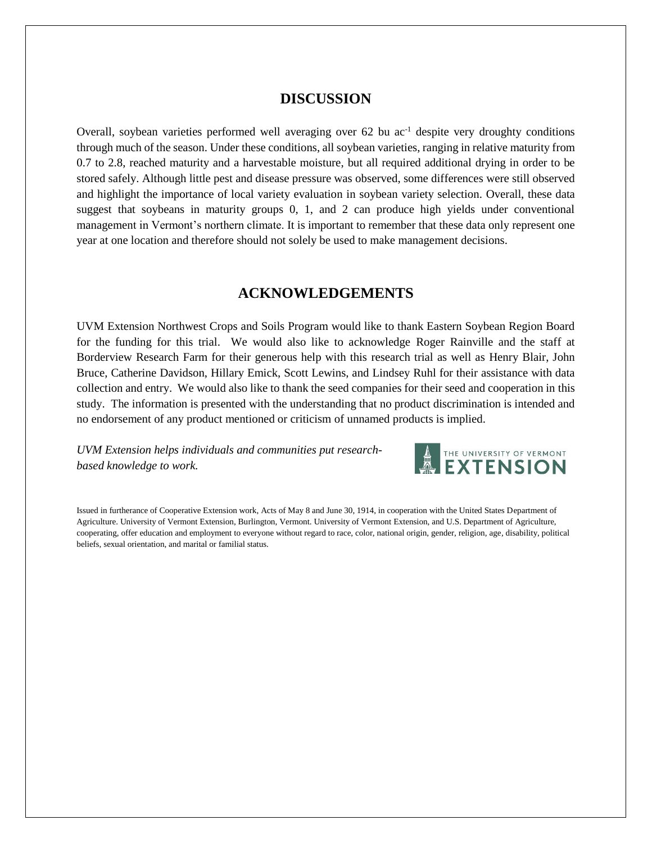## **DISCUSSION**

Overall, soybean varieties performed well averaging over  $62$  bu ac<sup>-1</sup> despite very droughty conditions through much of the season. Under these conditions, all soybean varieties, ranging in relative maturity from 0.7 to 2.8, reached maturity and a harvestable moisture, but all required additional drying in order to be stored safely. Although little pest and disease pressure was observed, some differences were still observed and highlight the importance of local variety evaluation in soybean variety selection. Overall, these data suggest that soybeans in maturity groups 0, 1, and 2 can produce high yields under conventional management in Vermont's northern climate. It is important to remember that these data only represent one year at one location and therefore should not solely be used to make management decisions.

## **ACKNOWLEDGEMENTS**

UVM Extension Northwest Crops and Soils Program would like to thank Eastern Soybean Region Board for the funding for this trial. We would also like to acknowledge Roger Rainville and the staff at Borderview Research Farm for their generous help with this research trial as well as Henry Blair, John Bruce, Catherine Davidson, Hillary Emick, Scott Lewins, and Lindsey Ruhl for their assistance with data collection and entry. We would also like to thank the seed companies for their seed and cooperation in this study. The information is presented with the understanding that no product discrimination is intended and no endorsement of any product mentioned or criticism of unnamed products is implied.

*UVM Extension helps individuals and communities put researchbased knowledge to work.*



Issued in furtherance of Cooperative Extension work, Acts of May 8 and June 30, 1914, in cooperation with the United States Department of Agriculture. University of Vermont Extension, Burlington, Vermont. University of Vermont Extension, and U.S. Department of Agriculture, cooperating, offer education and employment to everyone without regard to race, color, national origin, gender, religion, age, disability, political beliefs, sexual orientation, and marital or familial status.